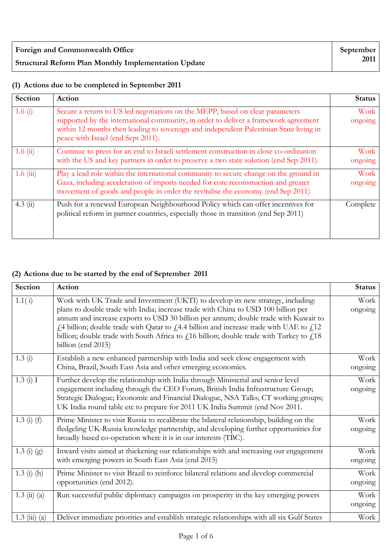| Foreign and Commonwealth Office                             | September |
|-------------------------------------------------------------|-----------|
| <b>Structural Reform Plan Monthly Implementation Update</b> | 2011 l    |

## **(1) Actions due to be completed in September 2011**

| Section       | Action                                                                                                                                                                                                                                                                                               | <b>Status</b>   |
|---------------|------------------------------------------------------------------------------------------------------------------------------------------------------------------------------------------------------------------------------------------------------------------------------------------------------|-----------------|
| 1.6 $(i)$     | Secure a return to US led negotiations on the MEPP, based on clear parameters<br>supported by the international community, in order to deliver a framework agreement<br>within 12 months then leading to sovereign and independent Palestinian State living in<br>peace with Israel (end Sept 2011). | Work<br>ongoing |
| 1.6 $(ii)$    | Continue to press for an end to Israeli settlement construction in close co-ordination<br>with the US and key partners in order to preserve a two state solution (end Sep 2011).                                                                                                                     | Work<br>ongoing |
| $1.6 \ (iii)$ | Play a lead role within the international community to secure change on the ground in<br>Gaza, including acceleration of imports needed for core reconstruction and greater<br>movement of goods and people in order the revitalise the economy (end Sep 2011)                                       | Work<br>ongoing |
| 4.3(i)        | Push for a renewed European Neighbourhood Policy which can offer incentives for<br>political reform in partner countries, especially those in transition (end Sep 2011)                                                                                                                              | Complete        |

## **(2) Actions due to be started by the end of September 2011**

| Section                             | Action                                                                                                                                                                                                                                                                                                                                                                                                                                                                         | <b>Status</b>   |
|-------------------------------------|--------------------------------------------------------------------------------------------------------------------------------------------------------------------------------------------------------------------------------------------------------------------------------------------------------------------------------------------------------------------------------------------------------------------------------------------------------------------------------|-----------------|
| 1.1(i)                              | Work with UK Trade and Investment (UKTI) to develop its new strategy, including:<br>plans to double trade with India; increase trade with China to USD 100 billion per<br>annum and increase exports to USD 30 billion per annum; double trade with Kuwait to<br>£4 billion; double trade with Qatar to £4.4 billion and increase trade with UAE to £12<br>billion; double trade with South Africa to $f$ 16 billion; double trade with Turkey to $f$ 18<br>billion (end 2015) | Work<br>ongoing |
| 1.3(i)                              | Establish a new enhanced partnership with India and seek close engagement with<br>China, Brazil, South East Asia and other emerging economies.                                                                                                                                                                                                                                                                                                                                 | Work<br>ongoing |
| 1.3(i) I                            | Further develop the relationship with India through Ministerial and senior level<br>engagement including through the CEO Forum, British India Infrastructure Group;<br>Strategic Dialogue; Economic and Financial Dialogue, NSA Talks; CT working groups;<br>UK India round table etc to prepare for 2011 UK India Summit (end Nov 2011.                                                                                                                                       | Work<br>ongoing |
| $1.3(i)$ (f)                        | Prime Minister to visit Russia to recalibrate the bilateral relationship, building on the<br>fledgeling UK-Russia knowledge partnership, and developing further opportunities for<br>broadly based co-operation where it is in our interests (TBC).                                                                                                                                                                                                                            | Work<br>ongoing |
| $1.3 \text{ (i) (g)}$               | Inward visits aimed at thickening our relationships with and increasing our engagement<br>with emerging powers in South East Asia (end 2015)                                                                                                                                                                                                                                                                                                                                   | Work<br>ongoing |
| $1.3$ (i) (h)                       | Prime Minister to visit Brazil to reinforce bilateral relations and develop commercial<br>opportunities (end 2012).                                                                                                                                                                                                                                                                                                                                                            | Work<br>ongoing |
| $1.3 \; \text{(ii)} \; \text{(a)}$  | Run successful public diplomacy campaigns on prosperity in the key emerging powers                                                                                                                                                                                                                                                                                                                                                                                             | Work<br>ongoing |
| $1.3 \; \text{(iii)} \; \text{(a)}$ | Deliver immediate priorities and establish strategic relationships with all six Gulf States                                                                                                                                                                                                                                                                                                                                                                                    | Work            |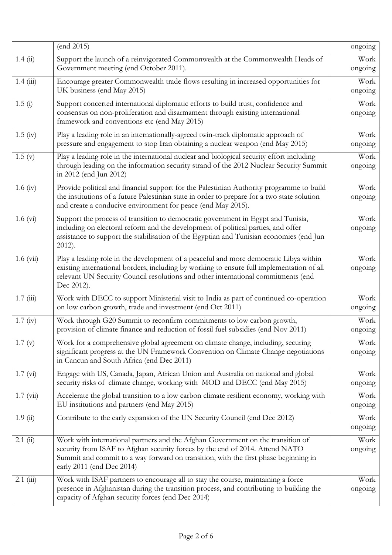|                    | (end 2015)                                                                                                                                                                                                                                                                            | ongoing         |
|--------------------|---------------------------------------------------------------------------------------------------------------------------------------------------------------------------------------------------------------------------------------------------------------------------------------|-----------------|
| 1.4(i)             | Support the launch of a reinvigorated Commonwealth at the Commonwealth Heads of<br>Government meeting (end October 2011).                                                                                                                                                             | Work<br>ongoing |
| 1.4(iii)           | Encourage greater Commonwealth trade flows resulting in increased opportunities for<br>UK business (end May 2015)                                                                                                                                                                     | Work<br>ongoing |
| 1.5(i)             | Support concerted international diplomatic efforts to build trust, confidence and<br>consensus on non-proliferation and disarmament through existing international<br>framework and conventions etc (end May 2015)                                                                    | Work<br>ongoing |
| $1.5 \; (iv)$      | Play a leading role in an internationally-agreed twin-track diplomatic approach of<br>pressure and engagement to stop Iran obtaining a nuclear weapon (end May 2015)                                                                                                                  | Work<br>ongoing |
| 1.5(y)             | Play a leading role in the international nuclear and biological security effort including<br>through leading on the information security strand of the 2012 Nuclear Security Summit<br>in 2012 (end Jun 2012)                                                                         | Work<br>ongoing |
| $1.6 \text{ (iv)}$ | Provide political and financial support for the Palestinian Authority programme to build<br>the institutions of a future Palestinian state in order to prepare for a two state solution<br>and create a conducive environment for peace (end May 2015).                               | Work<br>ongoing |
| $1.6 \text{ (vi)}$ | Support the process of transition to democratic government in Egypt and Tunisia,<br>including on electoral reform and the development of political parties, and offer<br>assistance to support the stabilisation of the Egyptian and Tunisian economies (end Jun<br>$2012$ ).         | Work<br>ongoing |
| $1.6 \ (vi)$       | Play a leading role in the development of a peaceful and more democratic Libya within<br>existing international borders, including by working to ensure full implementation of all<br>relevant UN Security Council resolutions and other international commitments (end<br>Dec 2012). | Work<br>ongoing |
| 1.7(iii)           | Work with DECC to support Ministerial visit to India as part of continued co-operation<br>on low carbon growth, trade and investment (end Oct 2011)                                                                                                                                   | Work<br>ongoing |
| $1.7 \; (iv)$      | Work through G20 Summit to reconfirm commitments to low carbon growth,<br>provision of climate finance and reduction of fossil fuel subsidies (end Nov 2011)                                                                                                                          | Work<br>ongoing |
| 1.7(y)             | Work for a comprehensive global agreement on climate change, including, securing<br>significant progress at the UN Framework Convention on Climate Change negotiations<br>in Cancun and South Africa (end Dec 2011)                                                                   | Work<br>ongoing |
| 1.7 (vi)           | Engage with US, Canada, Japan, African Union and Australia on national and global<br>security risks of climate change, working with MOD and DECC (end May 2015)                                                                                                                       | Work<br>ongoing |
| $1.7 \ (vii)$      | Accelerate the global transition to a low carbon climate resilient economy, working with<br>EU institutions and partners (end May 2015)                                                                                                                                               | Work<br>ongoing |
| 1.9(i)             | Contribute to the early expansion of the UN Security Council (end Dec 2012)                                                                                                                                                                                                           | Work<br>ongoing |
| 2.1(i)             | Work with international partners and the Afghan Government on the transition of<br>security from ISAF to Afghan security forces by the end of 2014. Attend NATO<br>Summit and commit to a way forward on transition, with the first phase beginning in<br>early 2011 (end Dec 2014)   | Work<br>ongoing |
| $2.1$ (iii)        | Work with ISAF partners to encourage all to stay the course, maintaining a force<br>presence in Afghanistan during the transition process, and contributing to building the<br>capacity of Afghan security forces (end Dec 2014)                                                      | Work<br>ongoing |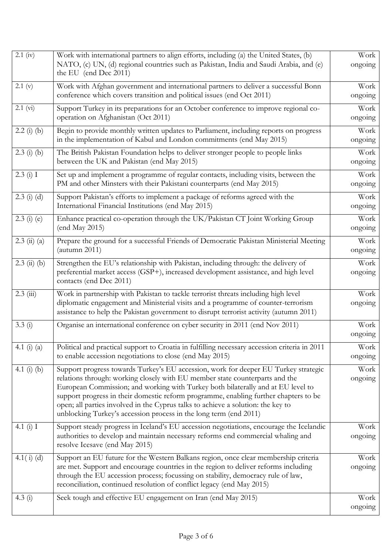| $2.1$ (iv)      | Work with international partners to align efforts, including (a) the United States, (b)                                                                                     | Work            |
|-----------------|-----------------------------------------------------------------------------------------------------------------------------------------------------------------------------|-----------------|
|                 | NATO, (c) UN, (d) regional countries such as Pakistan, India and Saudi Arabia, and (e)<br>the EU (end Dec 2011)                                                             | ongoing         |
| 2.1 (v)         | Work with Afghan government and international partners to deliver a successful Bonn                                                                                         | Work            |
|                 | conference which covers transition and political issues (end Oct 2011)                                                                                                      | ongoing         |
| 2.1 (vi)        | Support Turkey in its preparations for an October conference to improve regional co-                                                                                        | Work            |
|                 | operation on Afghanistan (Oct 2011)                                                                                                                                         | ongoing         |
| $2.2$ (i) (b)   | Begin to provide monthly written updates to Parliament, including reports on progress<br>in the implementation of Kabul and London commitments (end May 2015)               | Work<br>ongoing |
| $2.3$ (i) (b)   | The British Pakistan Foundation helps to deliver stronger people to people links                                                                                            | Work            |
|                 | between the UK and Pakistan (end May 2015)                                                                                                                                  | ongoing         |
| 2.3(i) I        | Set up and implement a programme of regular contacts, including visits, between the                                                                                         | Work            |
|                 | PM and other Minsters with their Pakistani counterparts (end May 2015)                                                                                                      | ongoing         |
| $2.3$ (i) (d)   | Support Pakistan's efforts to implement a package of reforms agreed with the<br>International Financial Institutions (end May 2015)                                         | Work<br>ongoing |
| $2.3$ (i) (e)   | Enhance practical co-operation through the UK/Pakistan CT Joint Working Group                                                                                               | Work            |
|                 | (end May 2015)                                                                                                                                                              | ongoing         |
| $2.3$ (ii) (a)  | Prepare the ground for a successful Friends of Democratic Pakistan Ministerial Meeting                                                                                      | Work            |
|                 | (autumn $2011$ )                                                                                                                                                            | ongoing         |
| $2.3$ (ii) (b)  | Strengthen the EU's relationship with Pakistan, including through: the delivery of                                                                                          | Work            |
|                 | preferential market access (GSP+), increased development assistance, and high level<br>contacts (end Dec 2011)                                                              | ongoing         |
| $2.3 \ (iii)$   | Work in partnership with Pakistan to tackle terrorist threats including high level                                                                                          | Work            |
|                 | diplomatic engagement and Ministerial visits and a programme of counter-terrorism<br>assistance to help the Pakistan government to disrupt terrorist activity (autumn 2011) | ongoing         |
| 3.3(i)          | Organise an international conference on cyber security in 2011 (end Nov 2011)                                                                                               | Work            |
|                 |                                                                                                                                                                             | ongoing         |
| 4.1 $(i)$ $(a)$ | Political and practical support to Croatia in fulfilling necessary accession criteria in 2011                                                                               | Work            |
|                 | to enable accession negotiations to close (end May 2015)                                                                                                                    | ongoing         |
| 4.1 (i) (b)     | Support progress towards Turkey's EU accession, work for deeper EU Turkey strategic                                                                                         | Work            |
|                 | relations through: working closely with EU member state counterparts and the                                                                                                | ongoing         |
|                 | European Commission; and working with Turkey both bilaterally and at EU level to<br>support progress in their domestic reform programme, enabling further chapters to be    |                 |
|                 | open; all parties involved in the Cyprus talks to achieve a solution: the key to                                                                                            |                 |
|                 | unblocking Turkey's accession process in the long term (end 2011)                                                                                                           |                 |
| 4.1 $(i)$ I     | Support steady progress in Iceland's EU accession negotiations, encourage the Icelandic                                                                                     | Work            |
|                 | authorities to develop and maintain necessary reforms end commercial whaling and                                                                                            | ongoing         |
|                 | resolve Icesave (end May 2015)                                                                                                                                              |                 |
| $4.1(i)$ (d)    | Support an EU future for the Western Balkans region, once clear membership criteria                                                                                         | Work            |
|                 | are met. Support and encourage countries in the region to deliver reforms including                                                                                         | ongoing         |
|                 | through the EU accession process; focussing on stability, democracy rule of law,<br>reconciliation, continued resolution of conflict legacy (end May 2015)                  |                 |
|                 |                                                                                                                                                                             |                 |
| 4.3 $(i)$       | Seek tough and effective EU engagement on Iran (end May 2015)                                                                                                               | Work            |
|                 |                                                                                                                                                                             | ongoing         |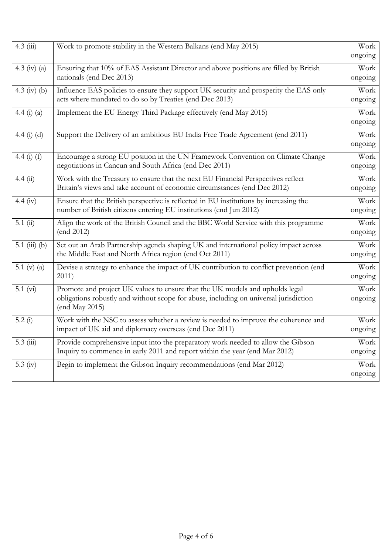| $4.3$ (iii)     | Work to promote stability in the Western Balkans (end May 2015)                                                                                                                         | Work<br>ongoing |
|-----------------|-----------------------------------------------------------------------------------------------------------------------------------------------------------------------------------------|-----------------|
| 4.3 (iv) (a)    | Ensuring that 10% of EAS Assistant Director and above positions are filled by British<br>nationals (end Dec 2013)                                                                       | Work<br>ongoing |
| 4.3 (iv) (b)    | Influence EAS policies to ensure they support UK security and prosperity the EAS only<br>acts where mandated to do so by Treaties (end Dec 2013)                                        | Work<br>ongoing |
| 4.4 (i) (a)     | Implement the EU Energy Third Package effectively (end May 2015)                                                                                                                        | Work<br>ongoing |
| 4.4 $(i)$ $(d)$ | Support the Delivery of an ambitious EU India Free Trade Agreement (end 2011)                                                                                                           | Work<br>ongoing |
| 4.4 $(i)$ $(f)$ | Encourage a strong EU position in the UN Framework Convention on Climate Change<br>negotiations in Cancun and South Africa (end Dec 2011)                                               | Work<br>ongoing |
| 4.4(i)          | Work with the Treasury to ensure that the next EU Financial Perspectives reflect<br>Britain's views and take account of economic circumstances (end Dec 2012)                           | Work<br>ongoing |
| 4.4 (iv)        | Ensure that the British perspective is reflected in EU institutions by increasing the<br>number of British citizens entering EU institutions (end Jun 2012)                             | Work<br>ongoing |
| 5.1(i)          | Align the work of the British Council and the BBC World Service with this programme<br>(end 2012)                                                                                       | Work<br>ongoing |
| 5.1 (iii) (b)   | Set out an Arab Partnership agenda shaping UK and international policy impact across<br>the Middle East and North Africa region (end Oct 2011)                                          | Work<br>ongoing |
| 5.1 (v) $(a)$   | Devise a strategy to enhance the impact of UK contribution to conflict prevention (end<br>2011)                                                                                         | Work<br>ongoing |
| 5.1 (vi)        | Promote and project UK values to ensure that the UK models and upholds legal<br>obligations robustly and without scope for abuse, including on universal jurisdiction<br>(end May 2015) | Work<br>ongoing |
| 5.2(i)          | Work with the NSC to assess whether a review is needed to improve the coherence and<br>impact of UK aid and diplomacy overseas (end Dec 2011)                                           | Work<br>ongoing |
| $5.3$ (iii)     | Provide comprehensive input into the preparatory work needed to allow the Gibson<br>Inquiry to commence in early 2011 and report within the year (end Mar 2012)                         | Work<br>ongoing |
| 5.3 $(iv)$      | Begin to implement the Gibson Inquiry recommendations (end Mar 2012)                                                                                                                    | Work<br>ongoing |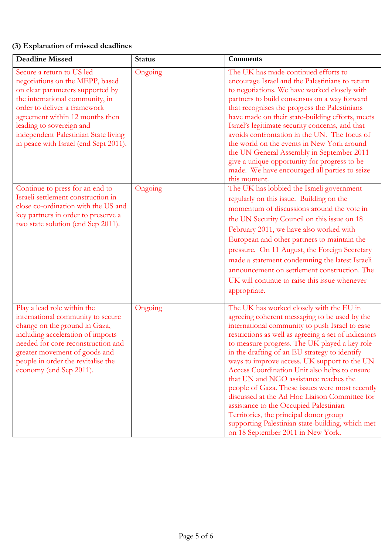## **(3) Explanation of missed deadlines**

| <b>Deadline Missed</b>                                                                                                                                                                                                                                                                                              | <b>Status</b> | <b>Comments</b>                                                                                                                                                                                                                                                                                                                                                                                                                                                                                                                                                                                                                                                                                                                   |
|---------------------------------------------------------------------------------------------------------------------------------------------------------------------------------------------------------------------------------------------------------------------------------------------------------------------|---------------|-----------------------------------------------------------------------------------------------------------------------------------------------------------------------------------------------------------------------------------------------------------------------------------------------------------------------------------------------------------------------------------------------------------------------------------------------------------------------------------------------------------------------------------------------------------------------------------------------------------------------------------------------------------------------------------------------------------------------------------|
| Secure a return to US led<br>negotiations on the MEPP, based<br>on clear parameters supported by<br>the international community, in<br>order to deliver a framework<br>agreement within 12 months then<br>leading to sovereign and<br>independent Palestinian State living<br>in peace with Israel (end Sept 2011). | Ongoing       | The UK has made continued efforts to<br>encourage Israel and the Palestinians to return<br>to negotiations. We have worked closely with<br>partners to build consensus on a way forward<br>that recognises the progress the Palestinians<br>have made on their state-building efforts, meets<br>Israel's legitimate security concerns, and that<br>avoids confrontation in the UN. The focus of<br>the world on the events in New York around<br>the UN General Assembly in September 2011<br>give a unique opportunity for progress to be<br>made. We have encouraged all parties to seize<br>this moment.                                                                                                                       |
| Continue to press for an end to<br>Israeli settlement construction in<br>close co-ordination with the US and<br>key partners in order to preserve a<br>two state solution (end Sep 2011).                                                                                                                           | Ongoing       | The UK has lobbied the Israeli government<br>regularly on this issue. Building on the<br>momentum of discussions around the vote in<br>the UN Security Council on this issue on 18<br>February 2011, we have also worked with<br>European and other partners to maintain the<br>pressure. On 11 August, the Foreign Secretary<br>made a statement condemning the latest Israeli<br>announcement on settlement construction. The<br>UK will continue to raise this issue whenever<br>appropriate.                                                                                                                                                                                                                                  |
| Play a lead role within the<br>international community to secure<br>change on the ground in Gaza,<br>including acceleration of imports<br>needed for core reconstruction and<br>greater movement of goods and<br>people in order the revitalise the<br>economy (end Sep 2011).                                      | Ongoing       | The UK has worked closely with the EU in<br>agreeing coherent messaging to be used by the<br>international community to push Israel to ease<br>restrictions as well as agreeing a set of indicators<br>to measure progress. The UK played a key role<br>in the drafting of an EU strategy to identify<br>ways to improve access. UK support to the UN<br>Access Coordination Unit also helps to ensure<br>that UN and NGO assistance reaches the<br>people of Gaza. These issues were most recently<br>discussed at the Ad Hoc Liaison Committee for<br>assistance to the Occupied Palestinian<br>Territories, the principal donor group<br>supporting Palestinian state-building, which met<br>on 18 September 2011 in New York. |